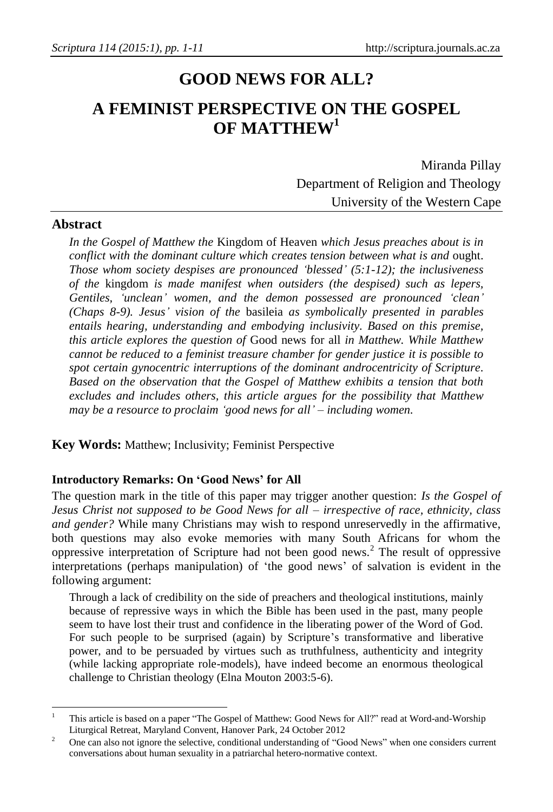# **GOOD NEWS FOR ALL? A FEMINIST PERSPECTIVE ON THE GOSPEL OF MATTHEW<sup>1</sup>**

Miranda Pillay Department of Religion and Theology University of the Western Cape

#### **Abstract**

l

*In the Gospel of Matthew the* Kingdom of Heaven *which Jesus preaches about is in conflict with the dominant culture which creates tension between what is and* ought. *Those whom society despises are pronounced 'blessed' (5:1-12); the inclusiveness of the* kingdom *is made manifest when outsiders (the despised) such as lepers, Gentiles, 'unclean' women, and the demon possessed are pronounced 'clean' (Chaps 8-9). Jesus' vision of the* basileia *as symbolically presented in parables entails hearing, understanding and embodying inclusivity. Based on this premise, this article explores the question of* Good news for all *in Matthew. While Matthew cannot be reduced to a feminist treasure chamber for gender justice it is possible to spot certain gynocentric interruptions of the dominant androcentricity of Scripture. Based on the observation that the Gospel of Matthew exhibits a tension that both excludes and includes others, this article argues for the possibility that Matthew may be a resource to proclaim 'good news for all' – including women.*

**Key Words:** Matthew; Inclusivity; Feminist Perspective

#### **Introductory Remarks: On 'Good News' for All**

The question mark in the title of this paper may trigger another question: *Is the Gospel of Jesus Christ not supposed to be Good News for all – irrespective of race, ethnicity, class and gender?* While many Christians may wish to respond unreservedly in the affirmative, both questions may also evoke memories with many South Africans for whom the oppressive interpretation of Scripture had not been good news.<sup>2</sup> The result of oppressive interpretations (perhaps manipulation) of 'the good news' of salvation is evident in the following argument:

Through a lack of credibility on the side of preachers and theological institutions, mainly because of repressive ways in which the Bible has been used in the past, many people seem to have lost their trust and confidence in the liberating power of the Word of God. For such people to be surprised (again) by Scripture's transformative and liberative power, and to be persuaded by virtues such as truthfulness, authenticity and integrity (while lacking appropriate role-models), have indeed become an enormous theological challenge to Christian theology (Elna Mouton 2003:5-6).

<sup>&</sup>lt;sup>1</sup> This article is based on a paper "The Gospel of Matthew: Good News for All?" read at Word-and-Worship Liturgical Retreat, Maryland Convent, Hanover Park, 24 October 2012

<sup>&</sup>lt;sup>2</sup> One can also not ignore the selective, conditional understanding of "Good News" when one considers current conversations about human sexuality in a patriarchal hetero-normative context.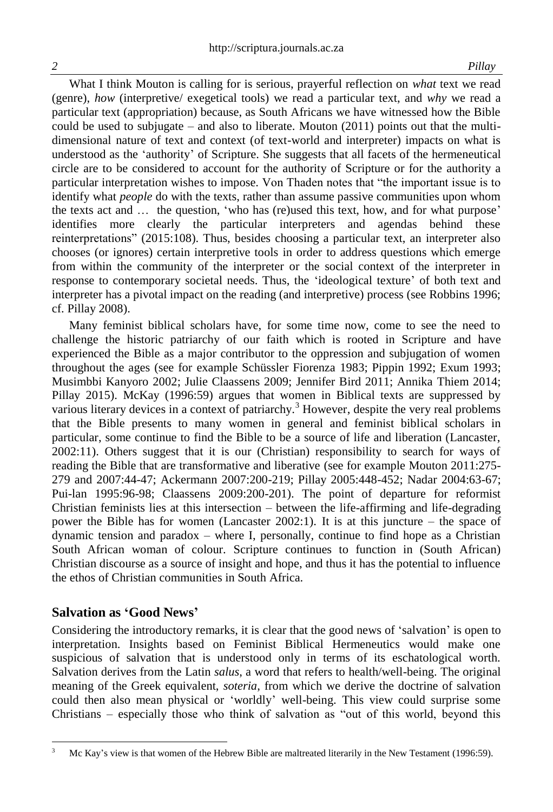What I think Mouton is calling for is serious, prayerful reflection on *what* text we read (genre), *how* (interpretive/ exegetical tools) we read a particular text, and *why* we read a particular text (appropriation) because, as South Africans we have witnessed how the Bible could be used to subjugate – and also to liberate. Mouton  $(2011)$  points out that the multidimensional nature of text and context (of text-world and interpreter) impacts on what is understood as the 'authority' of Scripture. She suggests that all facets of the hermeneutical circle are to be considered to account for the authority of Scripture or for the authority a particular interpretation wishes to impose. Von Thaden notes that "the important issue is to identify what *people* do with the texts, rather than assume passive communities upon whom the texts act and … the question, 'who has (re)used this text, how, and for what purpose' identifies more clearly the particular interpreters and agendas behind these reinterpretations" (2015:108). Thus, besides choosing a particular text, an interpreter also chooses (or ignores) certain interpretive tools in order to address questions which emerge from within the community of the interpreter or the social context of the interpreter in response to contemporary societal needs. Thus, the 'ideological texture' of both text and interpreter has a pivotal impact on the reading (and interpretive) process (see Robbins 1996; cf. Pillay 2008).

Many feminist biblical scholars have, for some time now, come to see the need to challenge the historic patriarchy of our faith which is rooted in Scripture and have experienced the Bible as a major contributor to the oppression and subjugation of women throughout the ages (see for example Schüssler Fiorenza 1983; Pippin 1992; Exum 1993; Musimbbi Kanyoro 2002; Julie Claassens 2009; Jennifer Bird 2011; Annika Thiem 2014; Pillay 2015). McKay (1996:59) argues that women in Biblical texts are suppressed by various literary devices in a context of patriarchy.<sup>3</sup> However, despite the very real problems that the Bible presents to many women in general and feminist biblical scholars in particular, some continue to find the Bible to be a source of life and liberation (Lancaster, 2002:11). Others suggest that it is our (Christian) responsibility to search for ways of reading the Bible that are transformative and liberative (see for example Mouton 2011:275- 279 and 2007:44-47; Ackermann 2007:200-219; Pillay 2005:448-452; Nadar 2004:63-67; Pui-lan 1995:96-98; Claassens 2009:200-201). The point of departure for reformist Christian feminists lies at this intersection – between the life-affirming and life-degrading power the Bible has for women (Lancaster 2002:1). It is at this juncture – the space of dynamic tension and paradox – where I, personally, continue to find hope as a Christian South African woman of colour. Scripture continues to function in (South African) Christian discourse as a source of insight and hope, and thus it has the potential to influence the ethos of Christian communities in South Africa.

#### **Salvation as 'Good News'**

Considering the introductory remarks, it is clear that the good news of 'salvation' is open to interpretation. Insights based on Feminist Biblical Hermeneutics would make one suspicious of salvation that is understood only in terms of its eschatological worth. Salvation derives from the Latin *salus*, a word that refers to health/well-being. The original meaning of the Greek equivalent, *soteria*, from which we derive the doctrine of salvation could then also mean physical or 'worldly' well-being. This view could surprise some Christians – especially those who think of salvation as "out of this world, beyond this

l <sup>3</sup> Mc Kay's view is that women of the Hebrew Bible are maltreated literarily in the New Testament (1996:59).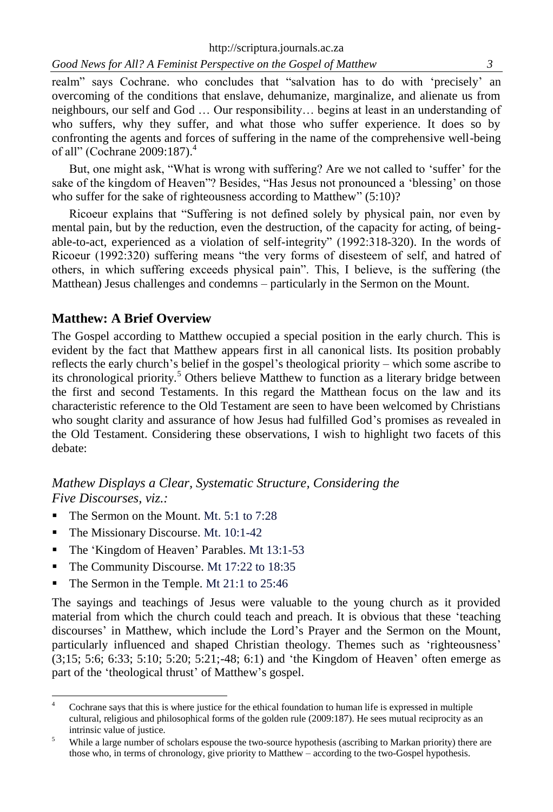*Good News for All? A Feminist Perspective on the Gospel of Matthew**3*

realm" says Cochrane. who concludes that "salvation has to do with 'precisely' an overcoming of the conditions that enslave, dehumanize, marginalize, and alienate us from neighbours, our self and God … Our responsibility… begins at least in an understanding of who suffers, why they suffer, and what those who suffer experience. It does so by confronting the agents and forces of suffering in the name of the comprehensive well-being of all" (Cochrane 2009:187).<sup>4</sup>

But, one might ask, "What is wrong with suffering? Are we not called to 'suffer' for the sake of the kingdom of Heaven"? Besides, "Has Jesus not pronounced a 'blessing' on those who suffer for the sake of righteousness according to Matthew" (5:10)?

Ricoeur explains that "Suffering is not defined solely by physical pain, nor even by mental pain, but by the reduction, even the destruction, of the capacity for acting, of beingable-to-act, experienced as a violation of self-integrity" (1992:318-320). In the words of Ricoeur (1992:320) suffering means "the very forms of disesteem of self, and hatred of others, in which suffering exceeds physical pain". This, I believe, is the suffering (the Matthean) Jesus challenges and condemns – particularly in the Sermon on the Mount.

## **Matthew: A Brief Overview**

The Gospel according to Matthew occupied a special position in the early church. This is evident by the fact that Matthew appears first in all canonical lists. Its position probably reflects the early church's belief in the gospel's theological priority – which some ascribe to its chronological priority.<sup>5</sup> Others believe Matthew to function as a literary bridge between the first and second Testaments. In this regard the Matthean focus on the law and its characteristic reference to the Old Testament are seen to have been welcomed by Christians who sought clarity and assurance of how Jesus had fulfilled God's promises as revealed in the Old Testament. Considering these observations, I wish to highlight two facets of this debate:

# *Mathew Displays a Clear, Systematic Structure, Considering the Five Discourses, viz.:*

- $\blacksquare$  The Sermon on the Mount. [Mt. 5:1 to 7:28](http://www.biblestudytools.com/rsv/matthew/passage.aspx?q=matthew+5:1-48;matthew+6:1-34;matthew+7:1-20)
- The Missionary Discourse. [Mt. 10:1-42](http://www.biblestudytools.com/rsv/matthew/passage.aspx?q=matthew+10:1-42)

l

- The 'Kingdom of Heaven' Parables. [Mt 13:1-53](http://www.biblestudytools.com/rsv/matthew/passage.aspx?q=matthew+13:1-53)
- The Community Discourse. [Mt 17:22 to 18:35](http://www.biblestudytools.com/rsv/matthew/passage.aspx?q=matthew+17:22-27;matthew+18:1-35)
- The Sermon in the Temple. [Mt 21:1 to 25:46](http://www.biblestudytools.com/rsv/matthew/passage.aspx?q=matthew+24:1-51;matthew+25:1-46)

The sayings and teachings of Jesus were valuable to the young church as it provided material from which the church could teach and preach. It is obvious that these 'teaching discourses' in Matthew, which include the Lord's Prayer and the Sermon on the Mount, particularly influenced and shaped Christian theology. Themes such as 'righteousness' (3;15; 5:6; 6:33; 5:10; 5:20; 5:21;-48; 6:1) and 'the Kingdom of Heaven' often emerge as part of the 'theological thrust' of Matthew's gospel.

Cochrane says that this is where justice for the ethical foundation to human life is expressed in multiple cultural, religious and philosophical forms of the golden rule (2009:187). He sees mutual reciprocity as an intrinsic value of justice.

<sup>&</sup>lt;sup>5</sup> While a large number of scholars espouse the two-source hypothesis (ascribing to Markan priority) there are those who, in terms of chronology, give priority to Matthew – according to the two-Gospel hypothesis.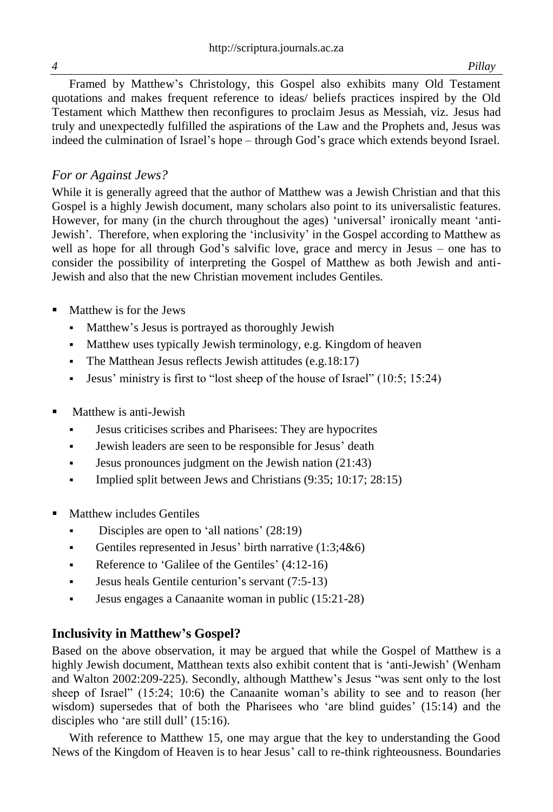Framed by Matthew's Christology, this Gospel also exhibits many Old Testament quotations and makes frequent reference to ideas/ beliefs practices inspired by the Old Testament which Matthew then reconfigures to proclaim Jesus as Messiah, viz. Jesus had truly and unexpectedly fulfilled the aspirations of the Law and the Prophets and, Jesus was indeed the culmination of Israel's hope – through God's grace which extends beyond Israel.

# *For or Against Jews?*

While it is generally agreed that the author of Matthew was a Jewish Christian and that this Gospel is a highly Jewish document, many scholars also point to its universalistic features. However, for many (in the church throughout the ages) 'universal' ironically meant 'anti-Jewish'. Therefore, when exploring the 'inclusivity' in the Gospel according to Matthew as well as hope for all through God's salvific love, grace and mercy in Jesus – one has to consider the possibility of interpreting the Gospel of Matthew as both Jewish and anti-Jewish and also that the new Christian movement includes Gentiles.

- Matthew is for the Jews
	- Matthew's Jesus is portrayed as thoroughly Jewish
	- Matthew uses typically Jewish terminology, e.g. Kingdom of heaven
	- The Matthean Jesus reflects Jewish attitudes (e.g.18:17)
	- **Jesus'** ministry is first to "lost sheep of the house of Israel"  $(10:5; 15:24)$
- Matthew is anti-Jewish
	- Jesus criticises scribes and Pharisees: They are hypocrites
	- Jewish leaders are seen to be responsible for Jesus' death
	- **Jesus pronounces judgment on the Jewish nation (21:43)**
	- Implied split between Jews and Christians  $(9:35; 10:17; 28:15)$
- Matthew includes Gentiles
	- Disciples are open to 'all nations' (28:19)
	- Gentiles represented in Jesus' birth narrative  $(1:3;4&6)$
	- Reference to 'Galilee of the Gentiles' (4:12-16)
	- **Jesus heals Gentile centurion's servant (7:5-13)**
	- Jesus engages a Canaanite woman in public (15:21-28)

## **Inclusivity in Matthew's Gospel?**

Based on the above observation, it may be argued that while the Gospel of Matthew is a highly Jewish document, Matthean texts also exhibit content that is 'anti-Jewish' (Wenham and Walton 2002:209-225). Secondly, although Matthew's Jesus "was sent only to the lost sheep of Israel" (15:24; 10:6) the Canaanite woman's ability to see and to reason (her wisdom) supersedes that of both the Pharisees who 'are blind guides' (15:14) and the disciples who 'are still dull' (15:16).

With reference to Matthew 15, one may argue that the key to understanding the Good News of the Kingdom of Heaven is to hear Jesus' call to re-think righteousness. Boundaries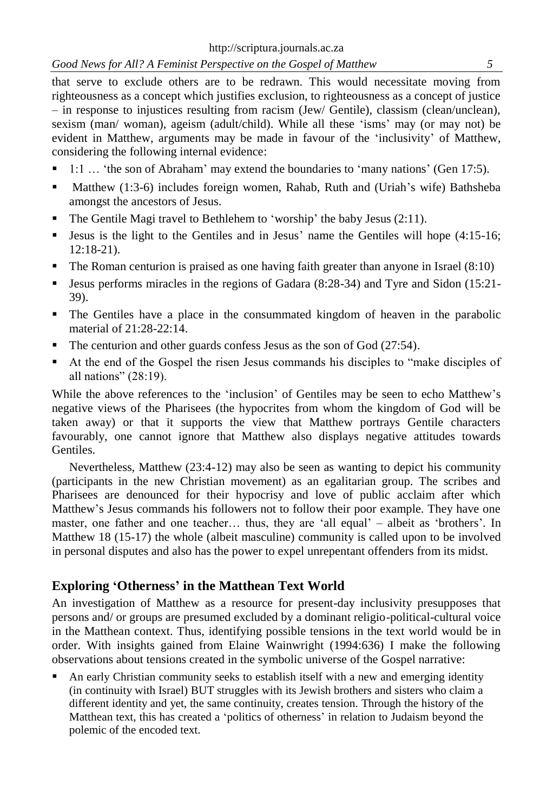*Good News for All? A Feminist Perspective on the Gospel of Matthew**5*

that serve to exclude others are to be redrawn. This would necessitate moving from righteousness as a concept which justifies exclusion, to righteousness as a concept of justice – in response to injustices resulting from racism (Jew/ Gentile), classism (clean/unclean), sexism (man/ woman), ageism (adult/child). While all these 'isms' may (or may not) be evident in Matthew, arguments may be made in favour of the 'inclusivity' of Matthew, considering the following internal evidence:

- 1:1 … 'the son of Abraham' may extend the boundaries to 'many nations' (Gen 17:5).
- Matthew (1:3-6) includes foreign women, Rahab, Ruth and (Uriah's wife) Bathsheba amongst the ancestors of Jesus.
- The Gentile Magi travel to Bethlehem to 'worship' the baby Jesus (2:11).
- **Jesus is the light to the Gentiles and in Jesus' name the Gentiles will hope**  $(4:15-16;$ 12:18-21).
- $\blacksquare$  The Roman centurion is praised as one having faith greater than anyone in Israel (8:10)
- Jesus performs miracles in the regions of Gadara (8:28-34) and Tyre and Sidon (15:21- 39).
- The Gentiles have a place in the consummated kingdom of heaven in the parabolic material of 21:28-22:14.
- The centurion and other guards confess Jesus as the son of God (27:54).
- At the end of the Gospel the risen Jesus commands his disciples to "make disciples of all nations" (28:19).

While the above references to the 'inclusion' of Gentiles may be seen to echo Matthew's negative views of the Pharisees (the hypocrites from whom the kingdom of God will be taken away) or that it supports the view that Matthew portrays Gentile characters favourably, one cannot ignore that Matthew also displays negative attitudes towards Gentiles.

Nevertheless, Matthew (23:4-12) may also be seen as wanting to depict his community (participants in the new Christian movement) as an egalitarian group. The scribes and Pharisees are denounced for their hypocrisy and love of public acclaim after which Matthew's Jesus commands his followers not to follow their poor example. They have one master, one father and one teacher… thus, they are 'all equal' – albeit as 'brothers'. In Matthew 18 (15-17) the whole (albeit masculine) community is called upon to be involved in personal disputes and also has the power to expel unrepentant offenders from its midst.

## **Exploring 'Otherness' in the Matthean Text World**

An investigation of Matthew as a resource for present-day inclusivity presupposes that persons and/ or groups are presumed excluded by a dominant religio-political-cultural voice in the Matthean context. Thus, identifying possible tensions in the text world would be in order. With insights gained from Elaine Wainwright (1994:636) I make the following observations about tensions created in the symbolic universe of the Gospel narrative:

 An early Christian community seeks to establish itself with a new and emerging identity (in continuity with Israel) BUT struggles with its Jewish brothers and sisters who claim a different identity and yet, the same continuity, creates tension. Through the history of the Matthean text, this has created a 'politics of otherness' in relation to Judaism beyond the polemic of the encoded text.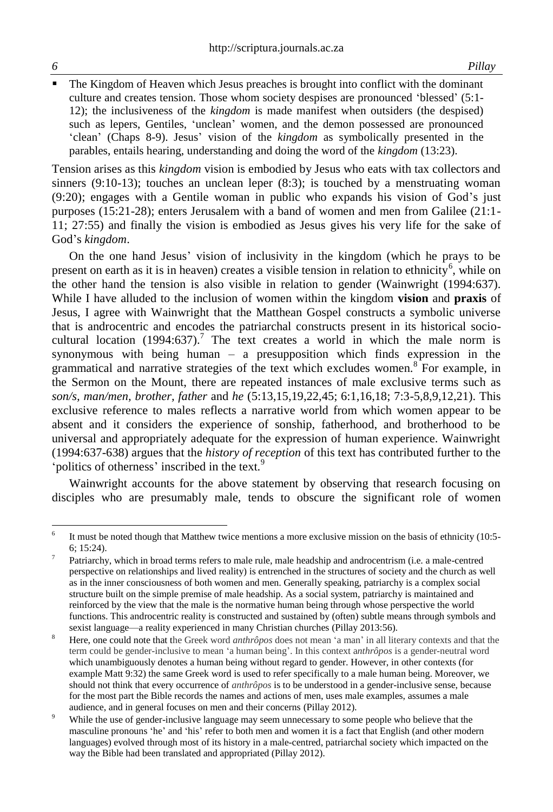l

 The Kingdom of Heaven which Jesus preaches is brought into conflict with the dominant culture and creates tension. Those whom society despises are pronounced 'blessed' (5:1- 12); the inclusiveness of the *kingdom* is made manifest when outsiders (the despised) such as lepers, Gentiles, 'unclean' women, and the demon possessed are pronounced 'clean' (Chaps 8-9). Jesus' vision of the *kingdom* as symbolically presented in the parables, entails hearing, understanding and doing the word of the *kingdom* (13:23).

Tension arises as this *kingdom* vision is embodied by Jesus who eats with tax collectors and sinners (9:10-13); touches an unclean leper (8:3); is touched by a menstruating woman (9:20); engages with a Gentile woman in public who expands his vision of God's just purposes (15:21-28); enters Jerusalem with a band of women and men from Galilee (21:1- 11; 27:55) and finally the vision is embodied as Jesus gives his very life for the sake of God's *kingdom*.

On the one hand Jesus' vision of inclusivity in the kingdom (which he prays to be present on earth as it is in heaven) creates a visible tension in relation to ethnicity<sup>6</sup>, while on the other hand the tension is also visible in relation to gender (Wainwright (1994:637). While I have alluded to the inclusion of women within the kingdom **vision** and **praxis** of Jesus, I agree with Wainwright that the Matthean Gospel constructs a symbolic universe that is androcentric and encodes the patriarchal constructs present in its historical sociocultural location (1994:637).<sup>7</sup> The text creates a world in which the male norm is synonymous with being human – a presupposition which finds expression in the grammatical and narrative strategies of the text which excludes women.<sup>8</sup> For example, in the Sermon on the Mount, there are repeated instances of male exclusive terms such as *son/s, man/men, brother, father* and *he* (5:13,15,19,22,45; 6:1,16,18; 7:3-5,8,9,12,21). This exclusive reference to males reflects a narrative world from which women appear to be absent and it considers the experience of sonship, fatherhood, and brotherhood to be universal and appropriately adequate for the expression of human experience. Wainwright (1994:637-638) argues that the *history of reception* of this text has contributed further to the 'politics of otherness' inscribed in the text.<sup>9</sup>

Wainwright accounts for the above statement by observing that research focusing on disciples who are presumably male, tends to obscure the significant role of women

<sup>6</sup> It must be noted though that Matthew twice mentions a more exclusive mission on the basis of ethnicity (10:5- 6; 15:24).

<sup>7</sup> Patriarchy, which in broad terms refers to male rule, male headship and androcentrism (i.e. a male-centred perspective on relationships and lived reality) is entrenched in the structures of society and the church as well as in the inner consciousness of both women and men. Generally speaking, patriarchy is a complex social structure built on the simple premise of male headship. As a social system, patriarchy is maintained and reinforced by the view that the male is the normative human being through whose perspective the world functions. This androcentric reality is constructed and sustained by (often) subtle means through symbols and sexist language—a reality experienced in many Christian churches (Pillay 2013:56).

<sup>&</sup>lt;sup>8</sup> Here, one could note that the Greek word *anthrôpos* does not mean 'a man' in all literary contexts and that the term could be gender-inclusive to mean 'a human being'. In this context a*nthrôpos* is a gender-neutral word which unambiguously denotes a human being without regard to gender. However, in other contexts (for example Matt 9:32) the same Greek word is used to refer specifically to a male human being. Moreover, we should not think that every occurrence of *anthrôpos* is to be understood in a gender-inclusive sense, because for the most part the Bible records the names and actions of men, uses male examples, assumes a male audience, and in general focuses on men and their concerns (Pillay 2012).

<sup>&</sup>lt;sup>9</sup> While the use of gender-inclusive language may seem unnecessary to some people who believe that the masculine pronouns 'he' and 'his' refer to both men and women it is a fact that English (and other modern languages) evolved through most of its history in a male-centred, patriarchal society which impacted on the way the Bible had been translated and appropriated (Pillay 2012).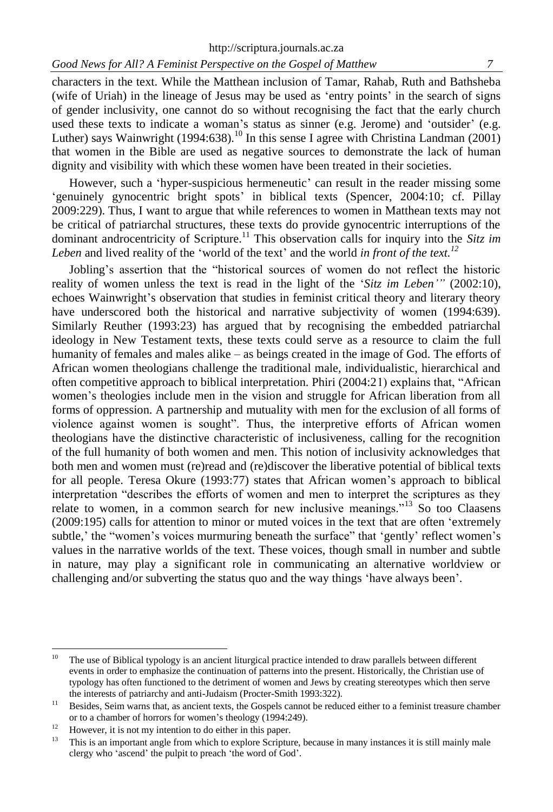characters in the text. While the Matthean inclusion of Tamar, Rahab, Ruth and Bathsheba (wife of Uriah) in the lineage of Jesus may be used as 'entry points' in the search of signs of gender inclusivity, one cannot do so without recognising the fact that the early church used these texts to indicate a woman's status as sinner (e.g. Jerome) and 'outsider' (e.g. Luther) says Wainwright (1994:638).<sup>10</sup> In this sense I agree with Christina Landman (2001) that women in the Bible are used as negative sources to demonstrate the lack of human dignity and visibility with which these women have been treated in their societies.

However, such a 'hyper-suspicious hermeneutic' can result in the reader missing some 'genuinely gynocentric bright spots' in biblical texts (Spencer, 2004:10; cf. Pillay 2009:229). Thus, I want to argue that while references to women in Matthean texts may not be critical of patriarchal structures, these texts do provide gynocentric interruptions of the dominant androcentricity of Scripture.<sup>11</sup> This observation calls for inquiry into the *Sitz im Leben* and lived reality of the 'world of the text' and the world *in front of the text.<sup>12</sup>*

Jobling's assertion that the "historical sources of women do not reflect the historic reality of women unless the text is read in the light of the '*Sitz im Leben'"* (2002:10), echoes Wainwright's observation that studies in feminist critical theory and literary theory have underscored both the historical and narrative subjectivity of women (1994:639). Similarly Reuther (1993:23) has argued that by recognising the embedded patriarchal ideology in New Testament texts, these texts could serve as a resource to claim the full humanity of females and males alike – as beings created in the image of God. The efforts of African women theologians challenge the traditional male, individualistic, hierarchical and often competitive approach to biblical interpretation. Phiri (2004:21) explains that, "African women's theologies include men in the vision and struggle for African liberation from all forms of oppression. A partnership and mutuality with men for the exclusion of all forms of violence against women is sought". Thus, the interpretive efforts of African women theologians have the distinctive characteristic of inclusiveness, calling for the recognition of the full humanity of both women and men. This notion of inclusivity acknowledges that both men and women must (re)read and (re)discover the liberative potential of biblical texts for all people. Teresa Okure (1993:77) states that African women's approach to biblical interpretation "describes the efforts of women and men to interpret the scriptures as they relate to women, in a common search for new inclusive meanings."<sup>13</sup> So too Claasens (2009:195) calls for attention to minor or muted voices in the text that are often 'extremely subtle,' the "women's voices murmuring beneath the surface" that 'gently' reflect women's values in the narrative worlds of the text. These voices, though small in number and subtle in nature, may play a significant role in communicating an alternative worldview or challenging and/or subverting the status quo and the way things 'have always been'.

 $10<sup>1</sup>$ The use of Biblical typology is an ancient liturgical practice intended to draw parallels between different events in order to emphasize the continuation of patterns into the present. Historically, the Christian use of typology has often functioned to the detriment of women and Jews by creating stereotypes which then serve the interests of patriarchy and anti-Judaism (Procter-Smith 1993:322).

<sup>&</sup>lt;sup>11</sup> Besides, Seim warns that, as ancient texts, the Gospels cannot be reduced either to a feminist treasure chamber or to a chamber of horrors for women's theology (1994:249).

 $12$  However, it is not my intention to do either in this paper.

<sup>&</sup>lt;sup>13</sup> This is an important angle from which to explore Scripture, because in many instances it is still mainly male clergy who 'ascend' the pulpit to preach 'the word of God'.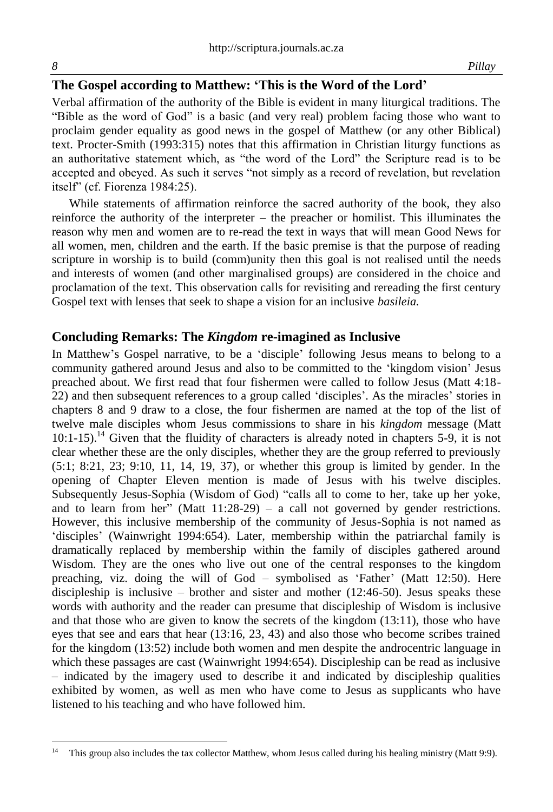# **The Gospel according to Matthew: 'This is the Word of the Lord'**

Verbal affirmation of the authority of the Bible is evident in many liturgical traditions. The "Bible as the word of God" is a basic (and very real) problem facing those who want to proclaim gender equality as good news in the gospel of Matthew (or any other Biblical) text. Procter-Smith (1993:315) notes that this affirmation in Christian liturgy functions as an authoritative statement which, as "the word of the Lord" the Scripture read is to be accepted and obeyed. As such it serves "not simply as a record of revelation, but revelation itself" (cf. Fiorenza 1984:25).

While statements of affirmation reinforce the sacred authority of the book, they also reinforce the authority of the interpreter – the preacher or homilist. This illuminates the reason why men and women are to re-read the text in ways that will mean Good News for all women, men, children and the earth. If the basic premise is that the purpose of reading scripture in worship is to build (comm)unity then this goal is not realised until the needs and interests of women (and other marginalised groups) are considered in the choice and proclamation of the text. This observation calls for revisiting and rereading the first century Gospel text with lenses that seek to shape a vision for an inclusive *basileia.* 

## **Concluding Remarks: The** *Kingdom* **re-imagined as Inclusive**

In Matthew's Gospel narrative, to be a 'disciple' following Jesus means to belong to a community gathered around Jesus and also to be committed to the 'kingdom vision' Jesus preached about. We first read that four fishermen were called to follow Jesus (Matt 4:18- 22) and then subsequent references to a group called 'disciples'. As the miracles' stories in chapters 8 and 9 draw to a close, the four fishermen are named at the top of the list of twelve male disciples whom Jesus commissions to share in his *kingdom* message (Matt  $10:1-15$ ).<sup>14</sup> Given that the fluidity of characters is already noted in chapters 5-9, it is not clear whether these are the only disciples, whether they are the group referred to previously (5:1; 8:21, 23; 9:10, 11, 14, 19, 37), or whether this group is limited by gender. In the opening of Chapter Eleven mention is made of Jesus with his twelve disciples. Subsequently Jesus-Sophia (Wisdom of God) "calls all to come to her, take up her yoke, and to learn from her" (Matt  $11:28-29$ ) – a call not governed by gender restrictions. However, this inclusive membership of the community of Jesus-Sophia is not named as 'disciples' (Wainwright 1994:654). Later, membership within the patriarchal family is dramatically replaced by membership within the family of disciples gathered around Wisdom. They are the ones who live out one of the central responses to the kingdom preaching, viz. doing the will of God – symbolised as 'Father' (Matt 12:50). Here discipleship is inclusive – brother and sister and mother (12:46-50). Jesus speaks these words with authority and the reader can presume that discipleship of Wisdom is inclusive and that those who are given to know the secrets of the kingdom (13:11), those who have eyes that see and ears that hear (13:16, 23, 43) and also those who become scribes trained for the kingdom (13:52) include both women and men despite the androcentric language in which these passages are cast (Wainwright 1994:654). Discipleship can be read as inclusive – indicated by the imagery used to describe it and indicated by discipleship qualities exhibited by women, as well as men who have come to Jesus as supplicants who have listened to his teaching and who have followed him.

l

<sup>&</sup>lt;sup>14</sup> This group also includes the tax collector Matthew, whom Jesus called during his healing ministry (Matt 9:9).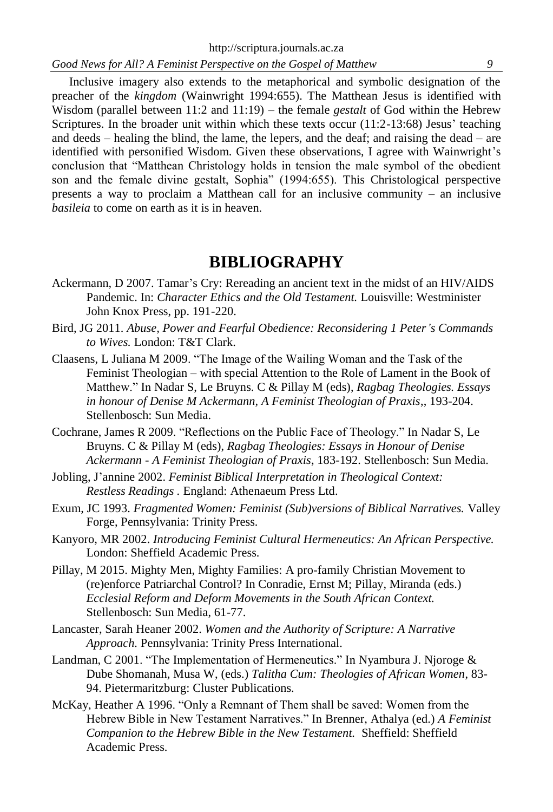Inclusive imagery also extends to the metaphorical and symbolic designation of the preacher of the *kingdom* (Wainwright 1994:655). The Matthean Jesus is identified with Wisdom (parallel between 11:2 and 11:19) – the female *gestalt* of God within the Hebrew Scriptures. In the broader unit within which these texts occur  $(11:2-13:68)$  Jesus' teaching and deeds – healing the blind, the lame, the lepers, and the deaf; and raising the dead – are identified with personified Wisdom. Given these observations, I agree with Wainwright's conclusion that "Matthean Christology holds in tension the male symbol of the obedient son and the female divine gestalt, Sophia" (1994:655). This Christological perspective presents a way to proclaim a Matthean call for an inclusive community – an inclusive *basileia* to come on earth as it is in heaven.

# **BIBLIOGRAPHY**

- Ackermann, D 2007. Tamar's Cry: Rereading an ancient text in the midst of an HIV/AIDS Pandemic. In: *Character Ethics and the Old Testament.* Louisville: Westminister John Knox Press, pp. 191-220.
- Bird, JG 2011. *Abuse, Power and Fearful Obedience: Reconsidering 1 Peter's Commands to Wives.* London: T&T Clark.
- Claasens, L Juliana M 2009. "The Image of the Wailing Woman and the Task of the Feminist Theologian – with special Attention to the Role of Lament in the Book of Matthew." In Nadar S, Le Bruyns. C & Pillay M (eds), *Ragbag Theologies. Essays in honour of Denise M Ackermann, A Feminist Theologian of Praxis*,, 193-204. Stellenbosch: Sun Media.
- Cochrane, James R 2009. "Reflections on the Public Face of Theology." In Nadar S, Le Bruyns. C & Pillay M (eds), *Ragbag Theologies: Essays in Honour of Denise Ackermann - A Feminist Theologian of Praxis*, 183-192. Stellenbosch: Sun Media.
- Jobling, J'annine 2002. *Feminist Biblical Interpretation in Theological Context: Restless Readings .* England: Athenaeum Press Ltd.
- Exum, JC 1993. *Fragmented Women: Feminist (Sub)versions of Biblical Narratives.* Valley Forge, Pennsylvania: Trinity Press.
- Kanyoro, MR 2002. *Introducing Feminist Cultural Hermeneutics: An African Perspective.*  London: Sheffield Academic Press.
- Pillay, M 2015. Mighty Men, Mighty Families: A pro-family Christian Movement to (re)enforce Patriarchal Control? In Conradie, Ernst M; Pillay, Miranda (eds.) *Ecclesial Reform and Deform Movements in the South African Context.* Stellenbosch: Sun Media, 61-77.
- Lancaster, Sarah Heaner 2002. *Women and the Authority of Scripture: A Narrative Approach.* Pennsylvania: Trinity Press International.
- Landman, C 2001. "The Implementation of Hermeneutics." In Nyambura J. Njoroge & Dube Shomanah, Musa W, (eds.) *Talitha Cum: Theologies of African Women*, 83- 94. Pietermaritzburg: Cluster Publications.
- McKay, Heather A 1996. "Only a Remnant of Them shall be saved: Women from the Hebrew Bible in New Testament Narratives." In Brenner, Athalya (ed.) *A Feminist Companion to the Hebrew Bible in the New Testament.* Sheffield: Sheffield Academic Press.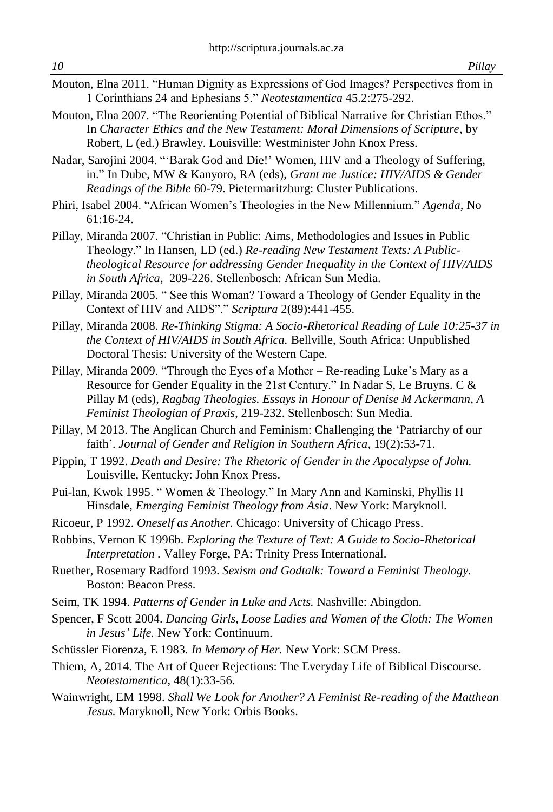- Mouton, Elna 2011. "Human Dignity as Expressions of God Images? Perspectives from in 1 Corinthians 24 and Ephesians 5." *Neotestamentica* 45.2:275-292.
- Mouton, Elna 2007. "The Reorienting Potential of Biblical Narrative for Christian Ethos." In *Character Ethics and the New Testament: Moral Dimensions of Scripture*, by Robert, L (ed.) Brawley. Louisville: Westminister John Knox Press.
- Nadar, Sarojini 2004. "'Barak God and Die!' Women, HIV and a Theology of Suffering, in." In Dube, MW & Kanyoro, RA (eds), *Grant me Justice: HIV/AIDS & Gender Readings of the Bible* 60-79. Pietermaritzburg: Cluster Publications.
- Phiri, Isabel 2004. "African Women's Theologies in the New Millennium." *Agenda,* No 61:16-24.
- Pillay, Miranda 2007. "Christian in Public: Aims, Methodologies and Issues in Public Theology." In Hansen, LD (ed.) *Re-reading New Testament Texts: A Publictheological Resource for addressing Gender Inequality in the Context of HIV/AIDS in South Africa*, 209-226. Stellenbosch: African Sun Media.
- Pillay, Miranda 2005. " See this Woman? Toward a Theology of Gender Equality in the Context of HIV and AIDS"." *Scriptura* 2(89):441-455.
- Pillay, Miranda 2008. *Re-Thinking Stigma: A Socio-Rhetorical Reading of Lule 10:25-37 in the Context of HIV/AIDS in South Africa.* Bellville, South Africa: Unpublished Doctoral Thesis: University of the Western Cape.
- Pillay, Miranda 2009. "Through the Eyes of a Mother Re-reading Luke's Mary as a Resource for Gender Equality in the 21st Century." In Nadar S, Le Bruyns. C & Pillay M (eds), *Ragbag Theologies. Essays in Honour of Denise M Ackermann, A Feminist Theologian of Praxis*, 219-232. Stellenbosch: Sun Media.
- Pillay, M 2013. The Anglican Church and Feminism: Challenging the 'Patriarchy of our faith'. Journal of Gender and Religion in Southern Africa, 19(2):53-71.
- Pippin, T 1992. *Death and Desire: The Rhetoric of Gender in the Apocalypse of John.*  Louisville, Kentucky: John Knox Press.
- Pui-lan, Kwok 1995. " Women & Theology." In Mary Ann and Kaminski, Phyllis H Hinsdale, *Emerging Feminist Theology from Asia*. New York: Maryknoll.
- Ricoeur, P 1992. *Oneself as Another.* Chicago: University of Chicago Press.
- Robbins, Vernon K 1996b. *Exploring the Texture of Text: A Guide to Socio-Rhetorical Interpretation .* Valley Forge, PA: Trinity Press International.
- Ruether, Rosemary Radford 1993. *Sexism and Godtalk: Toward a Feminist Theology.* Boston: Beacon Press.
- Seim, TK 1994. *Patterns of Gender in Luke and Acts.* Nashville: Abingdon.
- Spencer, F Scott 2004. *Dancing Girls, Loose Ladies and Women of the Cloth: The Women in Jesus' Life.* New York: Continuum.
- Schüssler Fiorenza, E 1983. *In Memory of Her.* New York: SCM Press.
- Thiem, A, 2014. The Art of Queer Rejections: The Everyday Life of Biblical Discourse. *Neotestamentica,* 48(1):33-56.
- Wainwright, EM 1998. *Shall We Look for Another? A Feminist Re-reading of the Matthean Jesus.* Maryknoll, New York: Orbis Books.